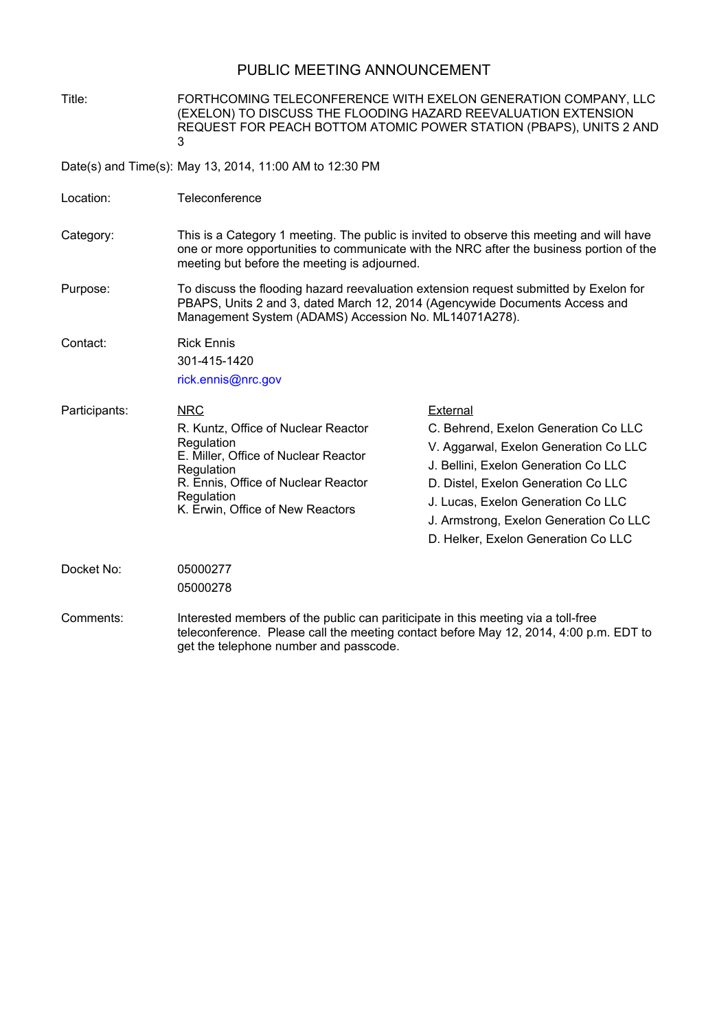## PUBLIC MEETING ANNOUNCEMENT

Title: FORTHCOMING TELECONFERENCE WITH EXELON GENERATION COMPANY, LLC (EXELON) TO DISCUSS THE FLOODING HAZARD REEVALUATION EXTENSION REQUEST FOR PEACH BOTTOM ATOMIC POWER STATION (PBAPS), UNITS 2 AND 3

Date(s) and Time(s): May 13, 2014, 11:00 AM to 12:30 PM

- Location: Teleconference
- Category: This is a Category 1 meeting. The public is invited to observe this meeting and will have one or more opportunities to communicate with the NRC after the business portion of the meeting but before the meeting is adjourned.
- Purpose: To discuss the flooding hazard reevaluation extension request submitted by Exelon for PBAPS, Units 2 and 3, dated March 12, 2014 (Agencywide Documents Access and Management System (ADAMS) Accession No. ML14071A278).
- Contact: Rick Ennis

301-415-1420

rick.ennis@nrc.gov

NRC R. Kuntz, Office of Nuclear Reactor Regulation E. Miller, Office of Nuclear Reactor **Regulation** R. Ennis, Office of Nuclear Reactor Regulation K. Erwin, Office of New Reactors Participants: NRC NRC External C. Behrend, Exelon Generation Co LLC V. Aggarwal, Exelon Generation Co LLC J. Bellini, Exelon Generation Co LLC D. Distel, Exelon Generation Co LLC J. Lucas, Exelon Generation Co LLC J. Armstrong, Exelon Generation Co LLC D. Helker, Exelon Generation Co LLC

Docket No: 05000277 05000278

Comments: Interested members of the public can pariticipate in this meeting via a toll-free teleconference. Please call the meeting contact before May 12, 2014, 4:00 p.m. EDT to get the telephone number and passcode.